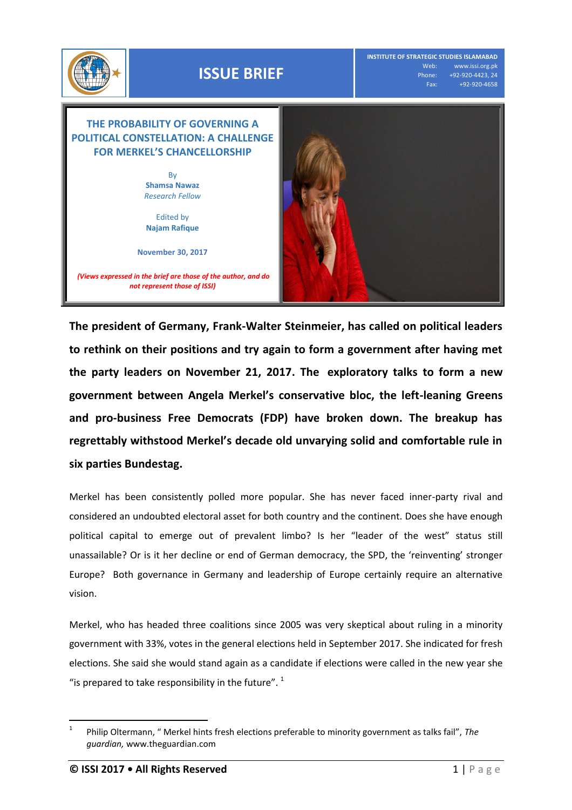

## **ISSUE BRIEF**

**INSTITUTE OF STRATEGIC STUDIES ISLAMABAD** Web: www.issi.org.pk<br>Phone: +92-920-4423, 24 none: +92-920-4423, 24<br>| Fax: <sub>\_\_\_\_\_\_</sub>+9<u>2-920-4658</u> Fax: +92-920-4658

## **THE PROBABILITY OF GOVERNING A POLITICAL CONSTELLATION: A CHALLENGE FOR MERKEL'S CHANCELLORSHIP**

By **Shamsa Nawaz**  *Research Fellow*

Edited by **Najam Rafique**

**November 30, 2017**

*(Views expressed in the brief are those of the author, and do not represent those of ISSI)*



**The president of Germany, Frank-Walter Steinmeier, has called on political leaders to rethink on their positions and try again to form a government after having met the party leaders on November 21, 2017. The [exploratory talks](https://www.theguardian.com/world/2017/nov/19/german-coalition-talks-close-to-collapse-angela-merkel) to form a new government between Angela Merkel's conservative bloc, the left-leaning Greens and pro-business Free Democrats (FDP) have broken down. The breakup has regrettably withstood Merkel's decade old unvarying solid and comfortable rule in six parties Bundestag.** 

Merkel has been consistently polled more popular. She has never faced inner-party rival and considered an undoubted electoral asset for both country and the continent. Does she have enough political capital to emerge out of prevalent limbo? Is her "leader of the west" status still unassailable? Or is it her decline or end of German democracy, the SPD, the 'reinventing' stronger Europe? Both governance in Germany and leadership of Europe certainly require an alternative vision.

Merkel, who has headed three coalitions since 2005 was very skeptical about ruling in a minority government with 33%, votes in the general elections held in September 2017. She indicated for fresh elections. She said she would stand again as a candidate if elections were called in the new year she "is prepared to take responsibility in the future".  $1$ 

 $\overline{a}$ 1 Philip Oltermann, " Merkel hints fresh elections preferable to minority government as talks fail", *The guardian,* www.theguardian.com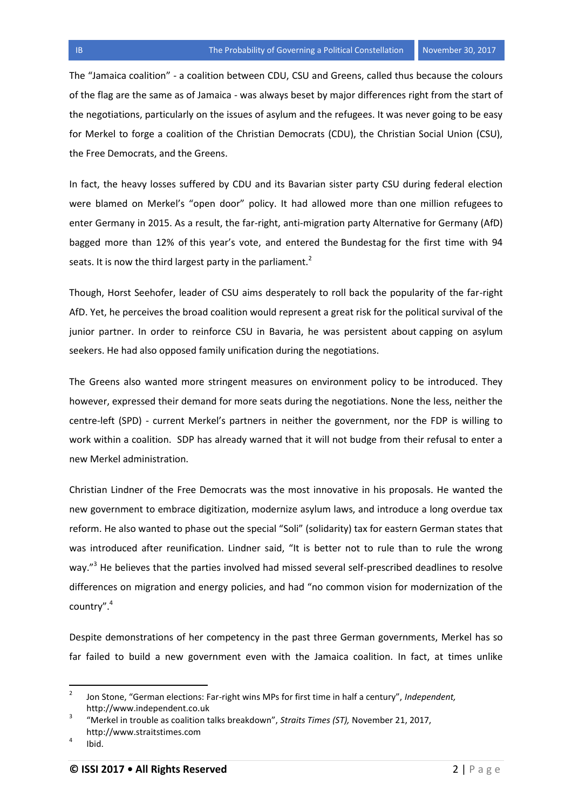The "Jamaica coalition" - a coalition between CDU, CSU and Greens, called thus because the colours of the flag are the same as of Jamaica - was always beset by major differences right from the start of the negotiations, particularly on the issues of asylum and the refugees. It was never going to be easy for Merkel to forge a coalition of the Christian Democrats (CDU), the Christian Social Union (CSU), the Free Democrats, and the Greens.

In fact, the heavy losses suffered by CDU and its Bavarian sister party CSU during federal election were blamed on Merkel's "open door" policy. It had allowed more than [one million refugees](https://www.politico.eu/article/germany-1-1-million-refugee-arrivals-in-2015/) to enter Germany in 2015. As a result, the far-right, anti-migration party Alternative for Germany (AfD) bagged more than 12% of [this year's vote](https://www.theguardian.com/world/ng-interactive/2017/sep/24/german-elections-2017-latest-results-live-merkel-bundestag-afd), and entered the [Bundestag](https://assets.bwbx.io/images/users/iqjWHBFdfxIU/iQAwuwX5W9Ss/v2/-1x-1.png) for the first time with 94 seats. It is now the third largest party in the parliament. $2$ 

Though, Horst Seehofer, leader of CSU aims desperately to roll back the popularity of the far-right AfD. Yet, he perceives the broad coalition would represent a great risk for the political survival of the junior partner. In order to reinforce CSU in Bavaria, he was persistent about [capping on asylum](https://www.theguardian.com/world/2017/oct/09/germany-merkel-agrees-to-200000-refugees-cap-in-bid-to-build-coalition)  [seekers.](https://www.theguardian.com/world/2017/oct/09/germany-merkel-agrees-to-200000-refugees-cap-in-bid-to-build-coalition) He had also opposed family unification during the negotiations.

The Greens also wanted more stringent measures on environment policy to be introduced. They however, expressed their demand for more seats during the negotiations. None the less, neither the centre-left (SPD) - current Merkel's partners in neither the government, nor the FDP is willing to work within a coalition. SDP has already warned that it will not budge from their refusal to enter a new Merkel administration.

Christian Lindner of the Free Democrats was the most innovative in his proposals. He wanted the new government to embrace digitization, modernize asylum laws, and introduce a long overdue tax reform. He also wanted to phase out the special ["Soli" \(solidarity\) tax](http://www.dw.com/en/taxpayers-demand-end-to-soli-tax-to-boost-eastern-german-economy/a-41315805) for eastern German states that was introduced after reunification. Lindner said, "It is better not to rule than to rule the wrong way."<sup>3</sup> He believes that the parties involved had missed several self-prescribed deadlines to resolve differences on migration and energy policies, and had "no common vision for modernization of the country".<sup>4</sup>

Despite demonstrations of her competency in the past three German governments, Merkel has so far failed to build a new government even with the Jamaica coalition. In fact, at times unlike

l

Jon Stone, "German elections: Far-right wins MPs for first time in half a century", *Independent,*  http://www.independent.co.uk

<sup>3</sup> "Merkel in trouble as coalition talks breakdown", *Straits Times (ST),* November 21, 2017, http://www.straitstimes.com

<sup>4</sup> Ibid.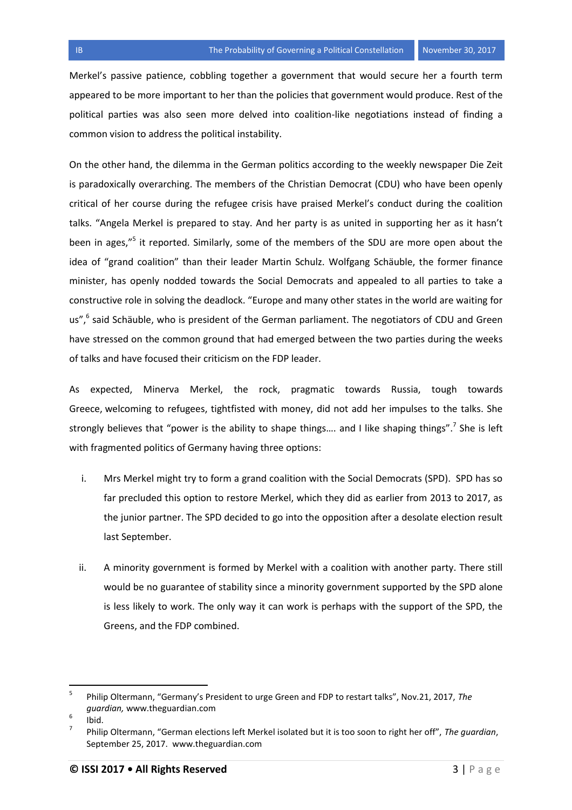Merkel's passive patience, cobbling together a government that would secure her a fourth term appeared to be more important to her than the policies that government would produce. Rest of the political parties was also seen more delved into coalition-like negotiations instead of finding a common vision to address the political instability.

On the other hand, the dilemma in the German politics according to the weekly newspaper Die Zeit is paradoxically overarching. The members of the Christian Democrat (CDU) who have been openly critical of her course during the refugee crisis have praised Merkel's conduct during the coalition talks. "Angela Merkel is prepared to stay. And her party is as united in supporting her as it hasn't been in ages,"<sup>5</sup> it reported. Similarly, some of the members of the SDU are more open about the idea of "grand coalition" than their leader Martin Schulz. Wolfgang Schäuble, the former finance minister, has openly nodded towards the Social Democrats and appealed to all parties to take a constructive role in solving the deadlock. "Europe and many other states in the world are waiting for us",<sup>6</sup> said Schäuble, who is president of the German parliament. The negotiators of CDU and Green have stressed on the common ground that had emerged between the two parties during the weeks of talks and have focused their criticism on the FDP leader.

As expected, Minerva Merkel, the rock, pragmatic towards Russia, tough towards Greece, welcoming to refugees, tightfisted with money, did not add her impulses to the talks. She strongly believes that "power is the ability to shape things.... and I like shaping things".<sup>7</sup> She is left with fragmented politics of Germany having three options:

- i. Mrs Merkel might try to form a grand coalition with the Social Democrats (SPD). SPD has so far precluded this option to restore Merkel, which they did as earlier from 2013 to 2017, as the junior partner. The SPD decided to go into the opposition after a desolate election result last September.
- ii. A minority government is formed by Merkel with a coalition with another party. There still would be no guarantee of stability since a minority government supported by the SPD alone is less likely to work. The only way it can work is perhaps with the support of the SPD, the Greens, and the FDP combined.

l

<sup>5</sup> Philip Oltermann, "Germany's President to urge Green and FDP to restart talks", Nov.21, 2017, *The guardian,* www.theguardian.com

<sup>6</sup> Ibid.

<sup>7</sup> Philip Oltermann, "German elections left Merkel isolated but it is too soon to right her off", *The guardian*, September 25, 2017. www.theguardian.com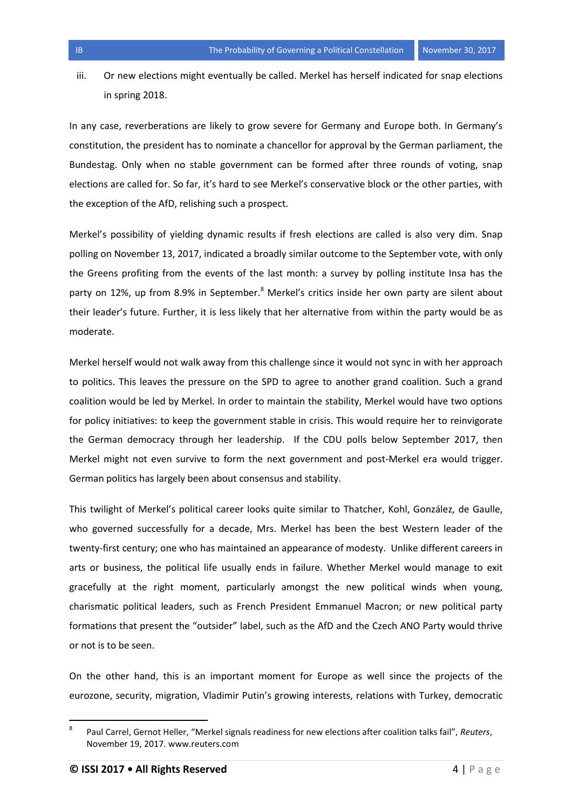iii. Or new elections might eventually be called. Merkel has herself indicated for snap elections in spring 2018.

In any case, reverberations are likely to grow severe for Germany and Europe both. In Germany's constitution, the president has to nominate a chancellor for approval by the German parliament, the Bundestag. Only when no stable government can be formed after three rounds of voting, snap elections are called for. So far, it's hard to see Merkel's conservative block or the other parties, with the exception of the AfD, relishing such a prospect.

Merkel's possibility of yielding dynamic results if fresh elections are called is also very dim. Snap polling on November 13, 2017, indicated a broadly similar outcome to the September vote, with only the Greens profiting from the events of the last month: a survey by polling institute Insa has the party on 12%, up from 8.9% in September.<sup>8</sup> Merkel's critics inside her own party are silent about their leader's future. Further, it is less likely that her alternative from within the party would be as moderate.

Merkel herself would not walk away from this challenge since it would not sync in with her approach to politics. This leaves the pressure on the SPD to agree to another grand coalition. Such a grand coalition would be led by Merkel. In order to maintain the stability, Merkel would have two options for policy initiatives: to keep the government stable in crisis. This would require her to reinvigorate the German democracy through her leadership. If the CDU polls below September 2017, then Merkel might not even survive to form the next government and post-Merkel era would trigger. German politics has largely been about consensus and stability.

This twilight of Merkel's political career looks quite similar to Thatcher, Kohl, González, de Gaulle, who governed successfully for a decade, Mrs. Merkel has been the best Western leader of the twenty-first century; one who has maintained an appearance of modesty. Unlike different careers in arts or business, the political life usually ends in failure. Whether Merkel would manage to exit gracefully at the right moment, particularly amongst the new political winds when young, charismatic political leaders, such as French President Emmanuel Macron; or new political party formations that present the "outsider" label, such as the AfD and the Czech ANO Party would thrive or not is to be seen.

On the other hand, this is an important moment for Europe as well since the projects of the eurozone, security, migration, Vladimir Putin's growing interests, relations with Turkey, democratic

 $\overline{a}$ 

<sup>8</sup> Paul Carrel, Gernot Heller, "Merkel signals readiness for new elections after coalition talks fail", *Reuters*, November 19, 2017. www.reuters.com